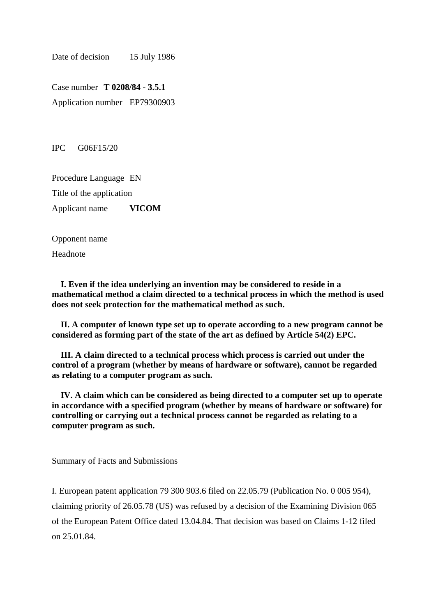Date of decision 15 July 1986

Case number **T 0208/84 - 3.5.1** Application number EP79300903

IPC G06F15/20

Procedure Language EN Title of the application Applicant name **VICOM**

Opponent name

Headnote

 **I. Even if the idea underlying an invention may be considered to reside in a mathematical method a claim directed to a technical process in which the method is used does not seek protection for the mathematical method as such.** 

 **II. A computer of known type set up to operate according to a new program cannot be considered as forming part of the state of the art as defined by Article 54(2) EPC.** 

 **III. A claim directed to a technical process which process is carried out under the control of a program (whether by means of hardware or software), cannot be regarded as relating to a computer program as such.** 

 **IV. A claim which can be considered as being directed to a computer set up to operate in accordance with a specified program (whether by means of hardware or software) for controlling or carrying out a technical process cannot be regarded as relating to a computer program as such.**

Summary of Facts and Submissions

I. European patent application 79 300 903.6 filed on 22.05.79 (Publication No. 0 005 954), claiming priority of 26.05.78 (US) was refused by a decision of the Examining Division 065 of the European Patent Office dated 13.04.84. That decision was based on Claims 1-12 filed on 25.01.84.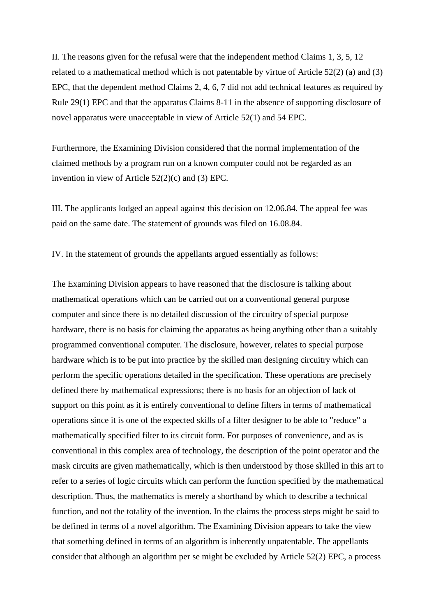II. The reasons given for the refusal were that the independent method Claims 1, 3, 5, 12 related to a mathematical method which is not patentable by virtue of Article 52(2) (a) and (3) EPC, that the dependent method Claims 2, 4, 6, 7 did not add technical features as required by Rule 29(1) EPC and that the apparatus Claims 8-11 in the absence of supporting disclosure of novel apparatus were unacceptable in view of Article 52(1) and 54 EPC.

Furthermore, the Examining Division considered that the normal implementation of the claimed methods by a program run on a known computer could not be regarded as an invention in view of Article 52(2)(c) and (3) EPC.

III. The applicants lodged an appeal against this decision on 12.06.84. The appeal fee was paid on the same date. The statement of grounds was filed on 16.08.84.

IV. In the statement of grounds the appellants argued essentially as follows:

The Examining Division appears to have reasoned that the disclosure is talking about mathematical operations which can be carried out on a conventional general purpose computer and since there is no detailed discussion of the circuitry of special purpose hardware, there is no basis for claiming the apparatus as being anything other than a suitably programmed conventional computer. The disclosure, however, relates to special purpose hardware which is to be put into practice by the skilled man designing circuitry which can perform the specific operations detailed in the specification. These operations are precisely defined there by mathematical expressions; there is no basis for an objection of lack of support on this point as it is entirely conventional to define filters in terms of mathematical operations since it is one of the expected skills of a filter designer to be able to "reduce" a mathematically specified filter to its circuit form. For purposes of convenience, and as is conventional in this complex area of technology, the description of the point operator and the mask circuits are given mathematically, which is then understood by those skilled in this art to refer to a series of logic circuits which can perform the function specified by the mathematical description. Thus, the mathematics is merely a shorthand by which to describe a technical function, and not the totality of the invention. In the claims the process steps might be said to be defined in terms of a novel algorithm. The Examining Division appears to take the view that something defined in terms of an algorithm is inherently unpatentable. The appellants consider that although an algorithm per se might be excluded by Article 52(2) EPC, a process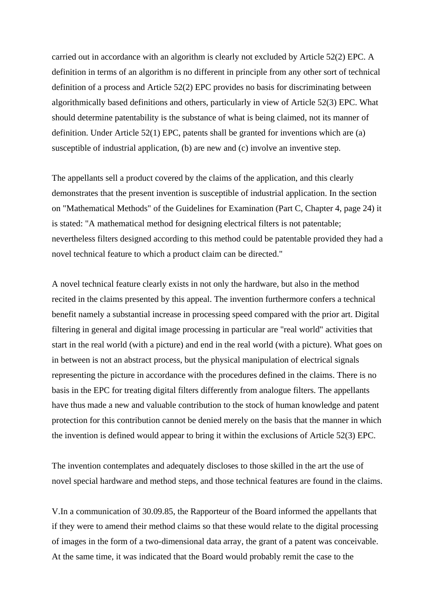carried out in accordance with an algorithm is clearly not excluded by Article 52(2) EPC. A definition in terms of an algorithm is no different in principle from any other sort of technical definition of a process and Article 52(2) EPC provides no basis for discriminating between algorithmically based definitions and others, particularly in view of Article 52(3) EPC. What should determine patentability is the substance of what is being claimed, not its manner of definition. Under Article 52(1) EPC, patents shall be granted for inventions which are (a) susceptible of industrial application, (b) are new and (c) involve an inventive step.

The appellants sell a product covered by the claims of the application, and this clearly demonstrates that the present invention is susceptible of industrial application. In the section on "Mathematical Methods" of the Guidelines for Examination (Part C, Chapter 4, page 24) it is stated: "A mathematical method for designing electrical filters is not patentable; nevertheless filters designed according to this method could be patentable provided they had a novel technical feature to which a product claim can be directed."

A novel technical feature clearly exists in not only the hardware, but also in the method recited in the claims presented by this appeal. The invention furthermore confers a technical benefit namely a substantial increase in processing speed compared with the prior art. Digital filtering in general and digital image processing in particular are "real world" activities that start in the real world (with a picture) and end in the real world (with a picture). What goes on in between is not an abstract process, but the physical manipulation of electrical signals representing the picture in accordance with the procedures defined in the claims. There is no basis in the EPC for treating digital filters differently from analogue filters. The appellants have thus made a new and valuable contribution to the stock of human knowledge and patent protection for this contribution cannot be denied merely on the basis that the manner in which the invention is defined would appear to bring it within the exclusions of Article 52(3) EPC.

The invention contemplates and adequately discloses to those skilled in the art the use of novel special hardware and method steps, and those technical features are found in the claims.

V.In a communication of 30.09.85, the Rapporteur of the Board informed the appellants that if they were to amend their method claims so that these would relate to the digital processing of images in the form of a two-dimensional data array, the grant of a patent was conceivable. At the same time, it was indicated that the Board would probably remit the case to the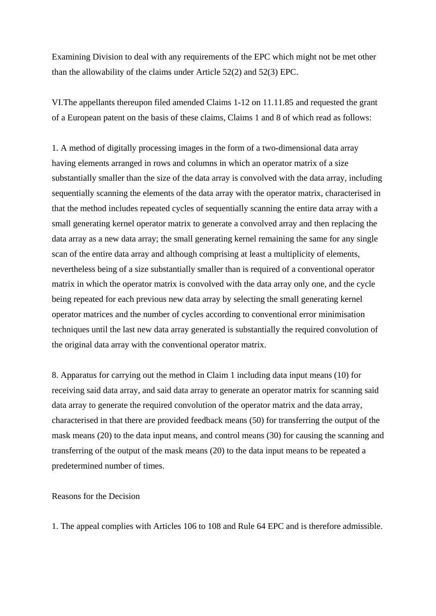Examining Division to deal with any requirements of the EPC which might not be met other than the allowability of the claims under Article 52(2) and 52(3) EPC.

VI.The appellants thereupon filed amended Claims 1-12 on 11.11.85 and requested the grant of a European patent on the basis of these claims, Claims 1 and 8 of which read as follows:

1. A method of digitally processing images in the form of a two-dimensional data array having elements arranged in rows and columns in which an operator matrix of a size substantially smaller than the size of the data array is convolved with the data array, including sequentially scanning the elements of the data array with the operator matrix, characterised in that the method includes repeated cycles of sequentially scanning the entire data array with a small generating kernel operator matrix to generate a convolved array and then replacing the data array as a new data array; the small generating kernel remaining the same for any single scan of the entire data array and although comprising at least a multiplicity of elements, nevertheless being of a size substantially smaller than is required of a conventional operator matrix in which the operator matrix is convolved with the data array only one, and the cycle being repeated for each previous new data array by selecting the small generating kernel operator matrices and the number of cycles according to conventional error minimisation techniques until the last new data array generated is substantially the required convolution of the original data array with the conventional operator matrix.

8. Apparatus for carrying out the method in Claim 1 including data input means (10) for receiving said data array, and said data array to generate an operator matrix for scanning said data array to generate the required convolution of the operator matrix and the data array, characterised in that there are provided feedback means (50) for transferring the output of the mask means (20) to the data input means, and control means (30) for causing the scanning and transferring of the output of the mask means (20) to the data input means to be repeated a predetermined number of times.

Reasons for the Decision

1. The appeal complies with Articles 106 to 108 and Rule 64 EPC and is therefore admissible.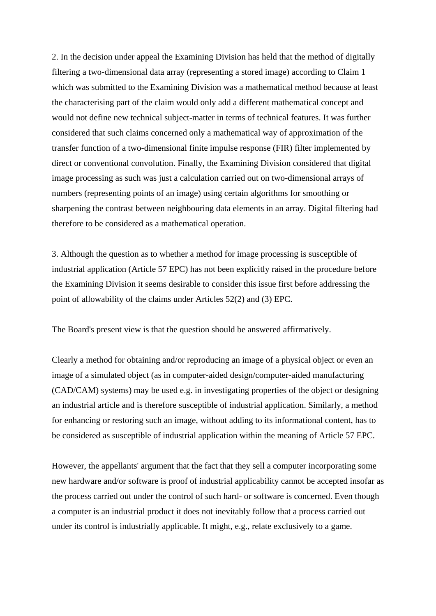2. In the decision under appeal the Examining Division has held that the method of digitally filtering a two-dimensional data array (representing a stored image) according to Claim 1 which was submitted to the Examining Division was a mathematical method because at least the characterising part of the claim would only add a different mathematical concept and would not define new technical subject-matter in terms of technical features. It was further considered that such claims concerned only a mathematical way of approximation of the transfer function of a two-dimensional finite impulse response (FIR) filter implemented by direct or conventional convolution. Finally, the Examining Division considered that digital image processing as such was just a calculation carried out on two-dimensional arrays of numbers (representing points of an image) using certain algorithms for smoothing or sharpening the contrast between neighbouring data elements in an array. Digital filtering had therefore to be considered as a mathematical operation.

3. Although the question as to whether a method for image processing is susceptible of industrial application (Article 57 EPC) has not been explicitly raised in the procedure before the Examining Division it seems desirable to consider this issue first before addressing the point of allowability of the claims under Articles 52(2) and (3) EPC.

The Board's present view is that the question should be answered affirmatively.

Clearly a method for obtaining and/or reproducing an image of a physical object or even an image of a simulated object (as in computer-aided design/computer-aided manufacturing (CAD/CAM) systems) may be used e.g. in investigating properties of the object or designing an industrial article and is therefore susceptible of industrial application. Similarly, a method for enhancing or restoring such an image, without adding to its informational content, has to be considered as susceptible of industrial application within the meaning of Article 57 EPC.

However, the appellants' argument that the fact that they sell a computer incorporating some new hardware and/or software is proof of industrial applicability cannot be accepted insofar as the process carried out under the control of such hard- or software is concerned. Even though a computer is an industrial product it does not inevitably follow that a process carried out under its control is industrially applicable. It might, e.g., relate exclusively to a game.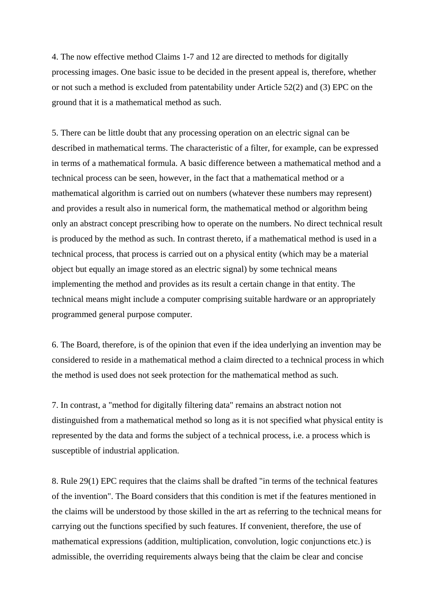4. The now effective method Claims 1-7 and 12 are directed to methods for digitally processing images. One basic issue to be decided in the present appeal is, therefore, whether or not such a method is excluded from patentability under Article 52(2) and (3) EPC on the ground that it is a mathematical method as such.

5. There can be little doubt that any processing operation on an electric signal can be described in mathematical terms. The characteristic of a filter, for example, can be expressed in terms of a mathematical formula. A basic difference between a mathematical method and a technical process can be seen, however, in the fact that a mathematical method or a mathematical algorithm is carried out on numbers (whatever these numbers may represent) and provides a result also in numerical form, the mathematical method or algorithm being only an abstract concept prescribing how to operate on the numbers. No direct technical result is produced by the method as such. In contrast thereto, if a mathematical method is used in a technical process, that process is carried out on a physical entity (which may be a material object but equally an image stored as an electric signal) by some technical means implementing the method and provides as its result a certain change in that entity. The technical means might include a computer comprising suitable hardware or an appropriately programmed general purpose computer.

6. The Board, therefore, is of the opinion that even if the idea underlying an invention may be considered to reside in a mathematical method a claim directed to a technical process in which the method is used does not seek protection for the mathematical method as such.

7. In contrast, a "method for digitally filtering data" remains an abstract notion not distinguished from a mathematical method so long as it is not specified what physical entity is represented by the data and forms the subject of a technical process, i.e. a process which is susceptible of industrial application.

8. Rule 29(1) EPC requires that the claims shall be drafted "in terms of the technical features of the invention". The Board considers that this condition is met if the features mentioned in the claims will be understood by those skilled in the art as referring to the technical means for carrying out the functions specified by such features. If convenient, therefore, the use of mathematical expressions (addition, multiplication, convolution, logic conjunctions etc.) is admissible, the overriding requirements always being that the claim be clear and concise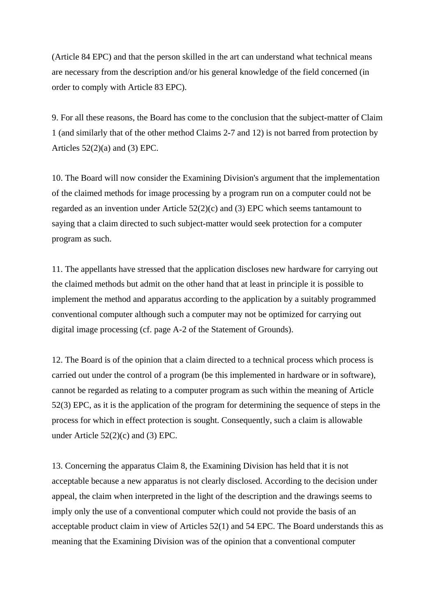(Article 84 EPC) and that the person skilled in the art can understand what technical means are necessary from the description and/or his general knowledge of the field concerned (in order to comply with Article 83 EPC).

9. For all these reasons, the Board has come to the conclusion that the subject-matter of Claim 1 (and similarly that of the other method Claims 2-7 and 12) is not barred from protection by Articles  $52(2)(a)$  and  $(3)$  EPC.

10. The Board will now consider the Examining Division's argument that the implementation of the claimed methods for image processing by a program run on a computer could not be regarded as an invention under Article 52(2)(c) and (3) EPC which seems tantamount to saying that a claim directed to such subject-matter would seek protection for a computer program as such.

11. The appellants have stressed that the application discloses new hardware for carrying out the claimed methods but admit on the other hand that at least in principle it is possible to implement the method and apparatus according to the application by a suitably programmed conventional computer although such a computer may not be optimized for carrying out digital image processing (cf. page A-2 of the Statement of Grounds).

12. The Board is of the opinion that a claim directed to a technical process which process is carried out under the control of a program (be this implemented in hardware or in software), cannot be regarded as relating to a computer program as such within the meaning of Article 52(3) EPC, as it is the application of the program for determining the sequence of steps in the process for which in effect protection is sought. Consequently, such a claim is allowable under Article 52(2)(c) and (3) EPC.

13. Concerning the apparatus Claim 8, the Examining Division has held that it is not acceptable because a new apparatus is not clearly disclosed. According to the decision under appeal, the claim when interpreted in the light of the description and the drawings seems to imply only the use of a conventional computer which could not provide the basis of an acceptable product claim in view of Articles 52(1) and 54 EPC. The Board understands this as meaning that the Examining Division was of the opinion that a conventional computer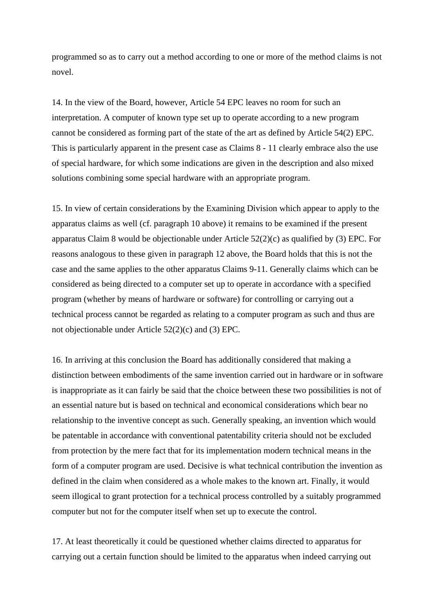programmed so as to carry out a method according to one or more of the method claims is not novel.

14. In the view of the Board, however, Article 54 EPC leaves no room for such an interpretation. A computer of known type set up to operate according to a new program cannot be considered as forming part of the state of the art as defined by Article 54(2) EPC. This is particularly apparent in the present case as Claims 8 - 11 clearly embrace also the use of special hardware, for which some indications are given in the description and also mixed solutions combining some special hardware with an appropriate program.

15. In view of certain considerations by the Examining Division which appear to apply to the apparatus claims as well (cf. paragraph 10 above) it remains to be examined if the present apparatus Claim 8 would be objectionable under Article 52(2)(c) as qualified by (3) EPC. For reasons analogous to these given in paragraph 12 above, the Board holds that this is not the case and the same applies to the other apparatus Claims 9-11. Generally claims which can be considered as being directed to a computer set up to operate in accordance with a specified program (whether by means of hardware or software) for controlling or carrying out a technical process cannot be regarded as relating to a computer program as such and thus are not objectionable under Article 52(2)(c) and (3) EPC.

16. In arriving at this conclusion the Board has additionally considered that making a distinction between embodiments of the same invention carried out in hardware or in software is inappropriate as it can fairly be said that the choice between these two possibilities is not of an essential nature but is based on technical and economical considerations which bear no relationship to the inventive concept as such. Generally speaking, an invention which would be patentable in accordance with conventional patentability criteria should not be excluded from protection by the mere fact that for its implementation modern technical means in the form of a computer program are used. Decisive is what technical contribution the invention as defined in the claim when considered as a whole makes to the known art. Finally, it would seem illogical to grant protection for a technical process controlled by a suitably programmed computer but not for the computer itself when set up to execute the control.

17. At least theoretically it could be questioned whether claims directed to apparatus for carrying out a certain function should be limited to the apparatus when indeed carrying out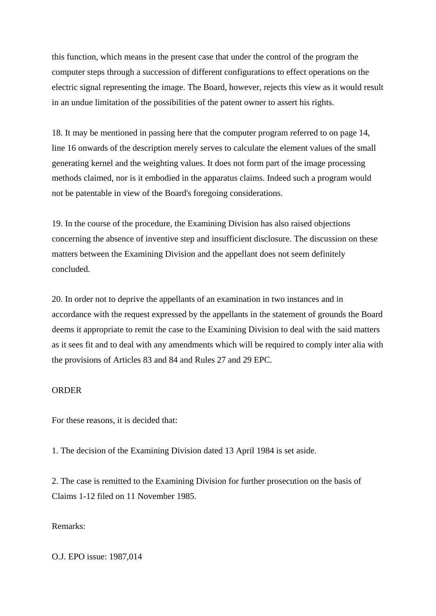this function, which means in the present case that under the control of the program the computer steps through a succession of different configurations to effect operations on the electric signal representing the image. The Board, however, rejects this view as it would result in an undue limitation of the possibilities of the patent owner to assert his rights.

18. It may be mentioned in passing here that the computer program referred to on page 14, line 16 onwards of the description merely serves to calculate the element values of the small generating kernel and the weighting values. It does not form part of the image processing methods claimed, nor is it embodied in the apparatus claims. Indeed such a program would not be patentable in view of the Board's foregoing considerations.

19. In the course of the procedure, the Examining Division has also raised objections concerning the absence of inventive step and insufficient disclosure. The discussion on these matters between the Examining Division and the appellant does not seem definitely concluded.

20. In order not to deprive the appellants of an examination in two instances and in accordance with the request expressed by the appellants in the statement of grounds the Board deems it appropriate to remit the case to the Examining Division to deal with the said matters as it sees fit and to deal with any amendments which will be required to comply inter alia with the provisions of Articles 83 and 84 and Rules 27 and 29 EPC.

## **ORDER**

For these reasons, it is decided that:

1. The decision of the Examining Division dated 13 April 1984 is set aside.

2. The case is remitted to the Examining Division for further prosecution on the basis of Claims 1-12 filed on 11 November 1985.

## Remarks:

O.J. EPO issue: 1987,014